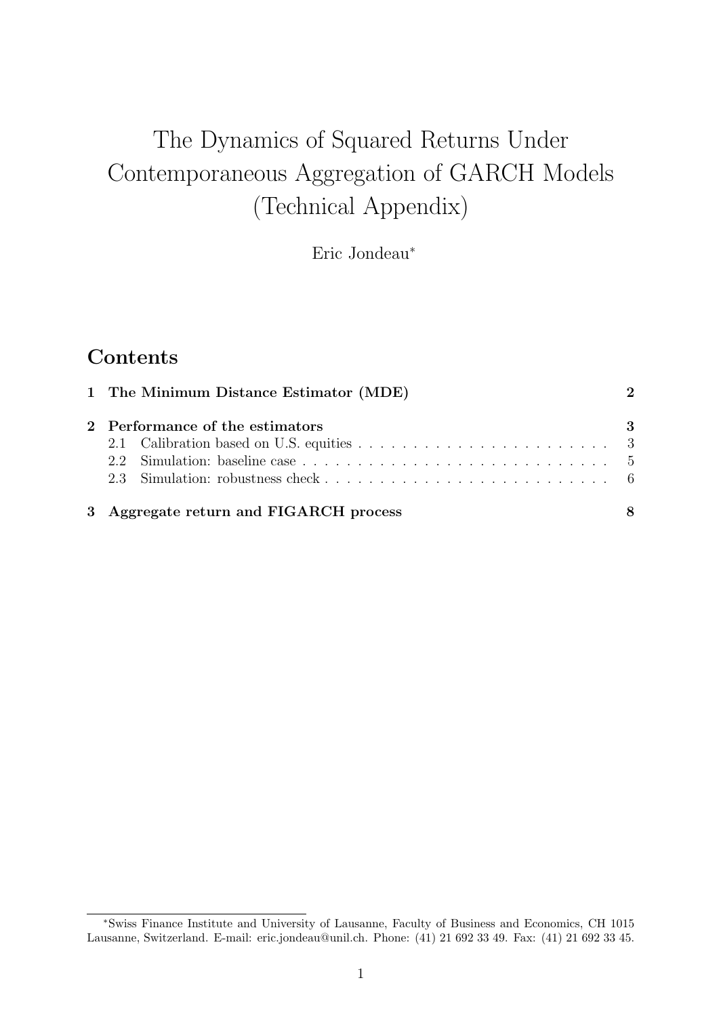# The Dynamics of Squared Returns Under Contemporaneous Aggregation of GARCH Models (Technical Appendix)

Eric Jondeau<sup>∗</sup>

# **Contents**

| 1 The Minimum Distance Estimator (MDE) |                                        |   |  |
|----------------------------------------|----------------------------------------|---|--|
|                                        | 2 Performance of the estimators        | 3 |  |
|                                        |                                        |   |  |
|                                        |                                        |   |  |
|                                        |                                        |   |  |
|                                        | 3 Aggregate return and FIGARCH process | 8 |  |

<sup>∗</sup>Swiss Finance Institute and University of Lausanne, Faculty of Business and Economics, CH 1015 Lausanne, Switzerland. E-mail: eric.jondeau@unil.ch. Phone: (41) 21 692 33 49. Fax: (41) 21 692 33 45.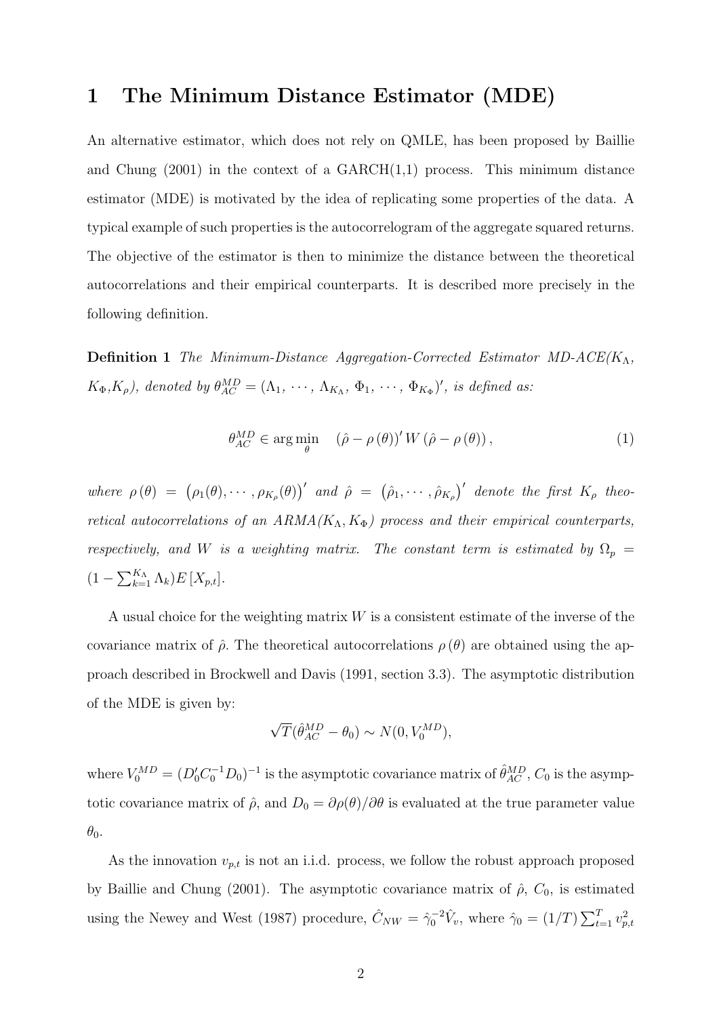### 1 The Minimum Distance Estimator (MDE)

An alternative estimator, which does not rely on QMLE, has been proposed by Baillie and Chung  $(2001)$  in the context of a GARCH $(1,1)$  process. This minimum distance estimator (MDE) is motivated by the idea of replicating some properties of the data. A typical example of such properties is the autocorrelogram of the aggregate squared returns. The objective of the estimator is then to minimize the distance between the theoretical autocorrelations and their empirical counterparts. It is described more precisely in the following definition.

**Definition 1** The Minimum-Distance Aggregation-Corrected Estimator MD-ACE( $K_{\Lambda}$ ,  $K_{\Phi}, K_{\rho}$ ), denoted by  $\theta_{AC}^{MD} = (\Lambda_1, \cdots, \Lambda_{K_{\Lambda}}, \Phi_1, \cdots, \Phi_{K_{\Phi}})'$ , is defined as:

$$
\theta_{AC}^{MD} \in \arg\min_{\theta} \quad (\hat{\rho} - \rho(\theta))' W (\hat{\rho} - \rho(\theta)), \tag{1}
$$

where  $\rho(\theta) = (\rho_1(\theta), \cdots, \rho_{K_{\rho}}(\theta))'$  and  $\hat{\rho} = (\hat{\rho}_1, \cdots, \hat{\rho}_{K_{\rho}})'$  denote the first  $K_{\rho}$  theoretical autocorrelations of an  $ARMA(K_A, K_{\Phi})$  process and their empirical counterparts, respectively, and W is a weighting matrix. The constant term is estimated by  $\Omega_p$  =  $(1 - \sum_{k=1}^{K_{\Lambda}} \Lambda_k) E[X_{p,t}].$ 

A usual choice for the weighting matrix  $W$  is a consistent estimate of the inverse of the covariance matrix of  $\hat{\rho}$ . The theoretical autocorrelations  $\rho(\theta)$  are obtained using the approach described in Brockwell and Davis (1991, section 3.3). The asymptotic distribution of the MDE is given by:

$$
\sqrt{T}(\hat{\theta}_{AC}^{MD} - \theta_0) \sim N(0, V_0^{MD}),
$$

where  $V_0^{MD} = (D'_0 C_0^{-1} D_0)^{-1}$  is the asymptotic covariance matrix of  $\hat{\theta}_{AC}^{MD}$ ,  $C_0$  is the asymptotic covariance matrix of  $\hat{\rho}$ , and  $D_0 = \partial \rho(\theta)/\partial \theta$  is evaluated at the true parameter value  $\theta_0$ .

As the innovation  $v_{p,t}$  is not an i.i.d. process, we follow the robust approach proposed by Baillie and Chung (2001). The asymptotic covariance matrix of  $\hat{\rho}$ ,  $C_0$ , is estimated using the Newey and West (1987) procedure,  $\hat{C}_{NW} = \hat{\gamma}_0^{-2} \hat{V}_v$ , where  $\hat{\gamma}_0 = (1/T) \sum_{t=1}^T v_{p,t}^2$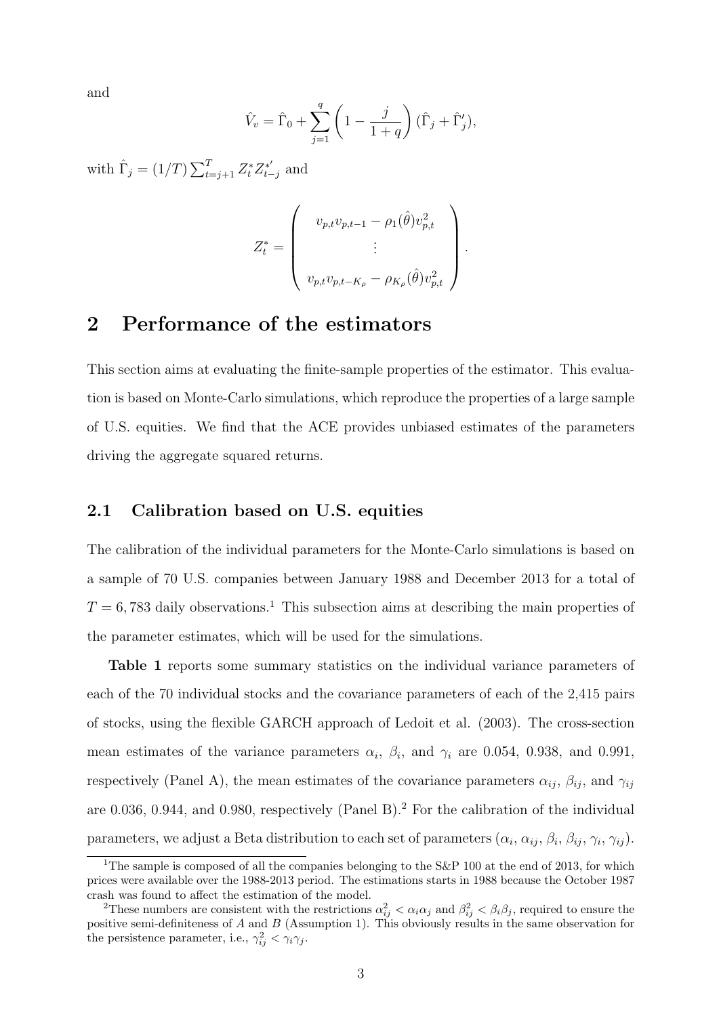and

$$
\hat{V}_v = \hat{\Gamma}_0 + \sum_{j=1}^q \left(1 - \frac{j}{1+q}\right)(\hat{\Gamma}_j + \hat{\Gamma}'_j),
$$

with  $\hat{\Gamma}_j = (1/T) \sum_{t=j+1}^T Z_t^* Z_{t-1}^*$  $\int_{t-j}^{*\prime}$  and

$$
Z_t^* = \begin{pmatrix} v_{p,t}v_{p,t-1} - \rho_1(\hat{\theta})v_{p,t}^2 \\ \vdots \\ v_{p,t}v_{p,t-K_{\rho}} - \rho_{K_{\rho}}(\hat{\theta})v_{p,t}^2 \end{pmatrix}.
$$

## 2 Performance of the estimators

This section aims at evaluating the finite-sample properties of the estimator. This evaluation is based on Monte-Carlo simulations, which reproduce the properties of a large sample of U.S. equities. We find that the ACE provides unbiased estimates of the parameters driving the aggregate squared returns.

#### 2.1 Calibration based on U.S. equities

The calibration of the individual parameters for the Monte-Carlo simulations is based on a sample of 70 U.S. companies between January 1988 and December 2013 for a total of  $T = 6,783$  daily observations.<sup>1</sup> This subsection aims at describing the main properties of the parameter estimates, which will be used for the simulations.

Table 1 reports some summary statistics on the individual variance parameters of each of the 70 individual stocks and the covariance parameters of each of the 2,415 pairs of stocks, using the flexible GARCH approach of Ledoit et al. (2003). The cross-section mean estimates of the variance parameters  $\alpha_i$ ,  $\beta_i$ , and  $\gamma_i$  are 0.054, 0.938, and 0.991, respectively (Panel A), the mean estimates of the covariance parameters  $\alpha_{ij}$ ,  $\beta_{ij}$ , and  $\gamma_{ij}$ are 0.036, 0.944, and 0.980, respectively (Panel B).<sup>2</sup> For the calibration of the individual parameters, we adjust a Beta distribution to each set of parameters  $(\alpha_i, \alpha_{ij}, \beta_i, \beta_{ij}, \gamma_i, \gamma_{ij})$ .

<sup>&</sup>lt;sup>1</sup>The sample is composed of all the companies belonging to the S&P 100 at the end of 2013, for which prices were available over the 1988-2013 period. The estimations starts in 1988 because the October 1987 crash was found to affect the estimation of the model.

<sup>&</sup>lt;sup>2</sup>These numbers are consistent with the restrictions  $\alpha_{ij}^2 < \alpha_i \alpha_j$  and  $\beta_{ij}^2 < \beta_i \beta_j$ , required to ensure the positive semi-definiteness of A and B (Assumption 1). This obviously results in the same observation for the persistence parameter, i.e.,  $\gamma_{ij}^2 < \gamma_i \gamma_j$ .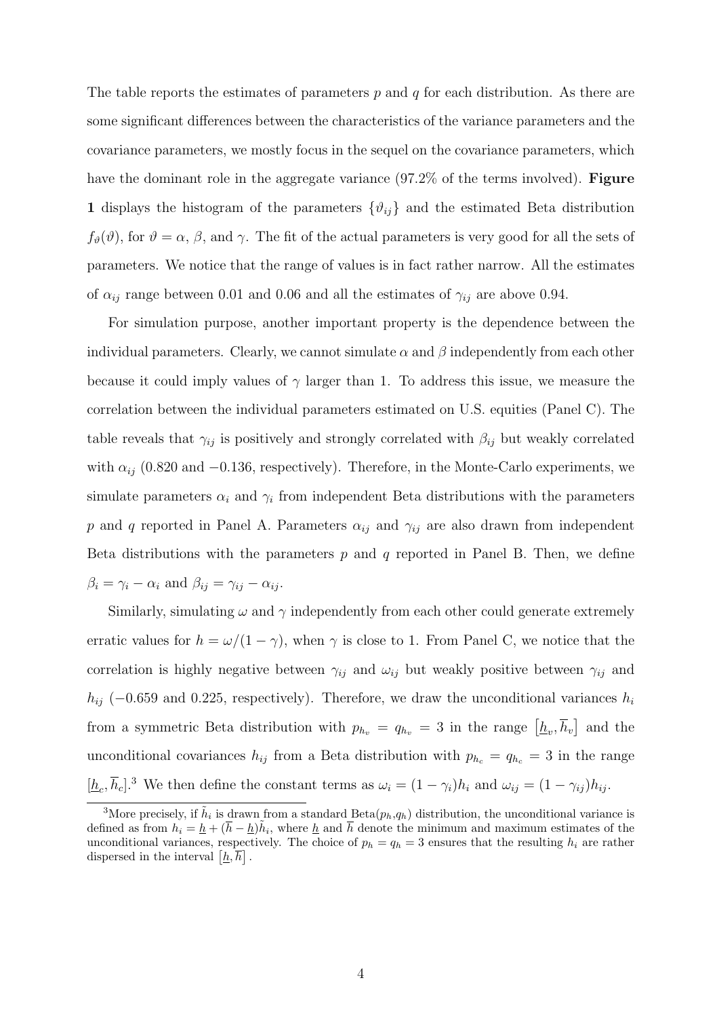The table reports the estimates of parameters  $p$  and  $q$  for each distribution. As there are some significant differences between the characteristics of the variance parameters and the covariance parameters, we mostly focus in the sequel on the covariance parameters, which have the dominant role in the aggregate variance (97.2% of the terms involved). Figure 1 displays the histogram of the parameters  $\{\vartheta_{ij}\}\$  and the estimated Beta distribution  $f_{\theta}(\theta)$ , for  $\theta = \alpha$ ,  $\beta$ , and  $\gamma$ . The fit of the actual parameters is very good for all the sets of parameters. We notice that the range of values is in fact rather narrow. All the estimates of  $\alpha_{ij}$  range between 0.01 and 0.06 and all the estimates of  $\gamma_{ij}$  are above 0.94.

For simulation purpose, another important property is the dependence between the individual parameters. Clearly, we cannot simulate  $\alpha$  and  $\beta$  independently from each other because it could imply values of  $\gamma$  larger than 1. To address this issue, we measure the correlation between the individual parameters estimated on U.S. equities (Panel C). The table reveals that  $\gamma_{ij}$  is positively and strongly correlated with  $\beta_{ij}$  but weakly correlated with  $\alpha_{ij}$  (0.820 and −0.136, respectively). Therefore, in the Monte-Carlo experiments, we simulate parameters  $\alpha_i$  and  $\gamma_i$  from independent Beta distributions with the parameters p and q reported in Panel A. Parameters  $\alpha_{ij}$  and  $\gamma_{ij}$  are also drawn from independent Beta distributions with the parameters  $p$  and  $q$  reported in Panel B. Then, we define  $\beta_i = \gamma_i - \alpha_i$  and  $\beta_{ij} = \gamma_{ij} - \alpha_{ij}$ .

Similarly, simulating  $\omega$  and  $\gamma$  independently from each other could generate extremely erratic values for  $h = \omega/(1 - \gamma)$ , when  $\gamma$  is close to 1. From Panel C, we notice that the correlation is highly negative between  $\gamma_{ij}$  and  $\omega_{ij}$  but weakly positive between  $\gamma_{ij}$  and  $h_{ij}$  (−0.659 and 0.225, respectively). Therefore, we draw the unconditional variances  $h_i$ from a symmetric Beta distribution with  $p_{h_v} = q_{h_v} = 3$  in the range  $[\underline{h}_v, \overline{h}_v]$  and the unconditional covariances  $h_{ij}$  from a Beta distribution with  $p_{h_c} = q_{h_c} = 3$  in the range  $[\underline{h}_c, \overline{h}_c]^3$  We then define the constant terms as  $\omega_i = (1 - \gamma_i)h_i$  and  $\omega_{ij} = (1 - \gamma_{ij})h_{ij}$ .

<sup>&</sup>lt;sup>3</sup>More precisely, if  $\tilde{h}_i$  is drawn from a standard Beta $(p_h, q_h)$  distribution, the unconditional variance is defined as from  $h_i = \underline{h} + (\overline{h} - \underline{h})\tilde{h}_i$ , where  $\underline{h}$  and  $\overline{h}$  denote the minimum and maximum estimates of the unconditional variances, respectively. The choice of  $p_h = q_h = 3$  ensures that the resulting  $h_i$  are rather dispersed in the interval  $\left[\underline{h}, \overline{h}\right]$ .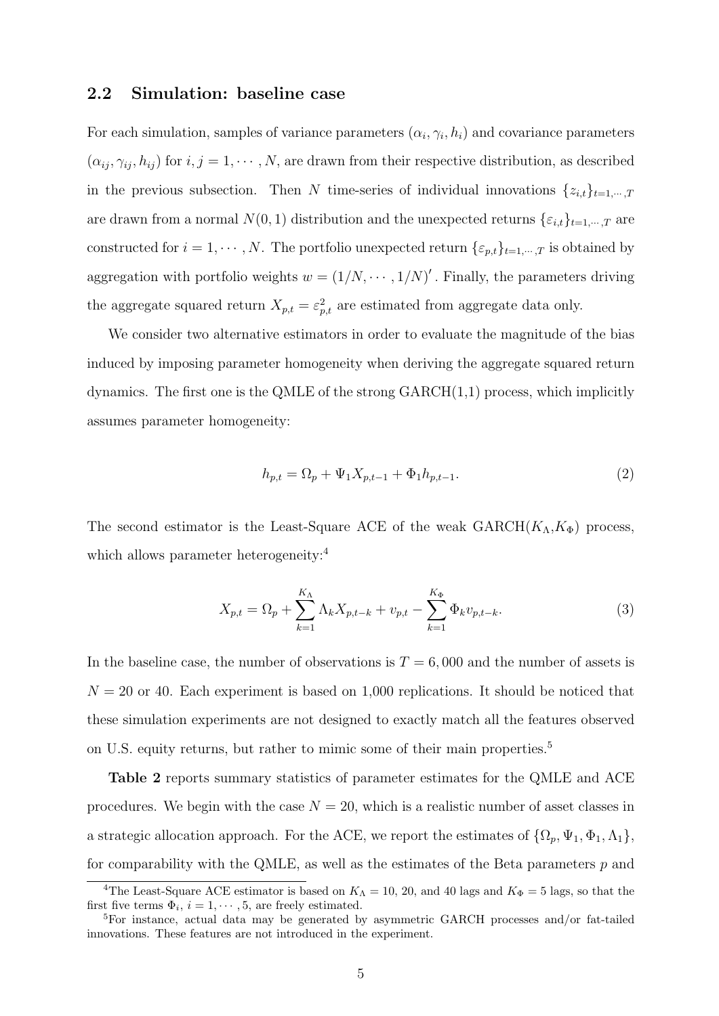#### 2.2 Simulation: baseline case

For each simulation, samples of variance parameters  $(\alpha_i, \gamma_i, h_i)$  and covariance parameters  $(\alpha_{ij}, \gamma_{ij}, h_{ij})$  for  $i, j = 1, \cdots, N$ , are drawn from their respective distribution, as described in the previous subsection. Then N time-series of individual innovations  $\{z_{i,t}\}_{t=1,\dots,T}$ are drawn from a normal  $N(0, 1)$  distribution and the unexpected returns  $\{\varepsilon_{i,t}\}_{t=1,\dots,T}$  are constructed for  $i = 1, \dots, N$ . The portfolio unexpected return  $\{\varepsilon_{p,t}\}_{t=1,\dots,T}$  is obtained by aggregation with portfolio weights  $w = (1/N, \dots, 1/N)'$ . Finally, the parameters driving the aggregate squared return  $X_{p,t} = \varepsilon_{p,t}^2$  are estimated from aggregate data only.

We consider two alternative estimators in order to evaluate the magnitude of the bias induced by imposing parameter homogeneity when deriving the aggregate squared return dynamics. The first one is the QMLE of the strong  $GARCH(1,1)$  process, which implicitly assumes parameter homogeneity:

$$
h_{p,t} = \Omega_p + \Psi_1 X_{p,t-1} + \Phi_1 h_{p,t-1}.
$$
\n(2)

The second estimator is the Least-Square ACE of the weak  $GARCH(K_A, K_{\Phi})$  process, which allows parameter heterogeneity:<sup>4</sup>

$$
X_{p,t} = \Omega_p + \sum_{k=1}^{K_{\Lambda}} \Lambda_k X_{p,t-k} + v_{p,t} - \sum_{k=1}^{K_{\Phi}} \Phi_k v_{p,t-k}.
$$
 (3)

In the baseline case, the number of observations is  $T = 6,000$  and the number of assets is  $N = 20$  or 40. Each experiment is based on 1,000 replications. It should be noticed that these simulation experiments are not designed to exactly match all the features observed on U.S. equity returns, but rather to mimic some of their main properties.<sup>5</sup>

Table 2 reports summary statistics of parameter estimates for the QMLE and ACE procedures. We begin with the case  $N = 20$ , which is a realistic number of asset classes in a strategic allocation approach. For the ACE, we report the estimates of  $\{\Omega_p, \Psi_1, \Phi_1, \Lambda_1\},$ for comparability with the QMLE, as well as the estimates of the Beta parameters  $p$  and

<sup>&</sup>lt;sup>4</sup>The Least-Square ACE estimator is based on  $K_{\Lambda} = 10, 20,$  and 40 lags and  $K_{\Phi} = 5$  lags, so that the first five terms  $\Phi_i$ ,  $i = 1, \dots, 5$ , are freely estimated.

<sup>5</sup>For instance, actual data may be generated by asymmetric GARCH processes and/or fat-tailed innovations. These features are not introduced in the experiment.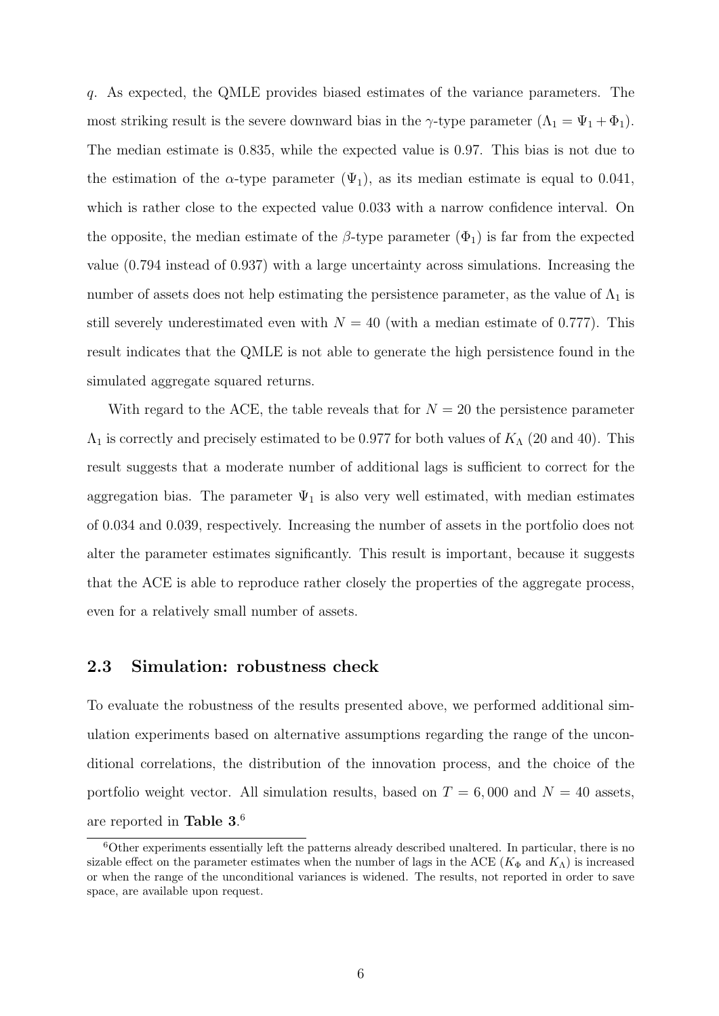q. As expected, the QMLE provides biased estimates of the variance parameters. The most striking result is the severe downward bias in the  $\gamma$ -type parameter  $(\Lambda_1 = \Psi_1 + \Phi_1)$ . The median estimate is 0.835, while the expected value is 0.97. This bias is not due to the estimation of the  $\alpha$ -type parameter  $(\Psi_1)$ , as its median estimate is equal to 0.041, which is rather close to the expected value 0.033 with a narrow confidence interval. On the opposite, the median estimate of the  $\beta$ -type parameter  $(\Phi_1)$  is far from the expected value (0.794 instead of 0.937) with a large uncertainty across simulations. Increasing the number of assets does not help estimating the persistence parameter, as the value of  $\Lambda_1$  is still severely underestimated even with  $N = 40$  (with a median estimate of 0.777). This result indicates that the QMLE is not able to generate the high persistence found in the simulated aggregate squared returns.

With regard to the ACE, the table reveals that for  $N = 20$  the persistence parameter  $\Lambda_1$  is correctly and precisely estimated to be 0.977 for both values of  $K_\Lambda$  (20 and 40). This result suggests that a moderate number of additional lags is sufficient to correct for the aggregation bias. The parameter  $\Psi_1$  is also very well estimated, with median estimates of 0.034 and 0.039, respectively. Increasing the number of assets in the portfolio does not alter the parameter estimates significantly. This result is important, because it suggests that the ACE is able to reproduce rather closely the properties of the aggregate process, even for a relatively small number of assets.

#### 2.3 Simulation: robustness check

To evaluate the robustness of the results presented above, we performed additional simulation experiments based on alternative assumptions regarding the range of the unconditional correlations, the distribution of the innovation process, and the choice of the portfolio weight vector. All simulation results, based on  $T = 6,000$  and  $N = 40$  assets, are reported in Table  $3.<sup>6</sup>$ 

 $6$ Other experiments essentially left the patterns already described unaltered. In particular, there is no sizable effect on the parameter estimates when the number of lags in the ACE ( $K_{\Phi}$  and  $K_{\Lambda}$ ) is increased or when the range of the unconditional variances is widened. The results, not reported in order to save space, are available upon request.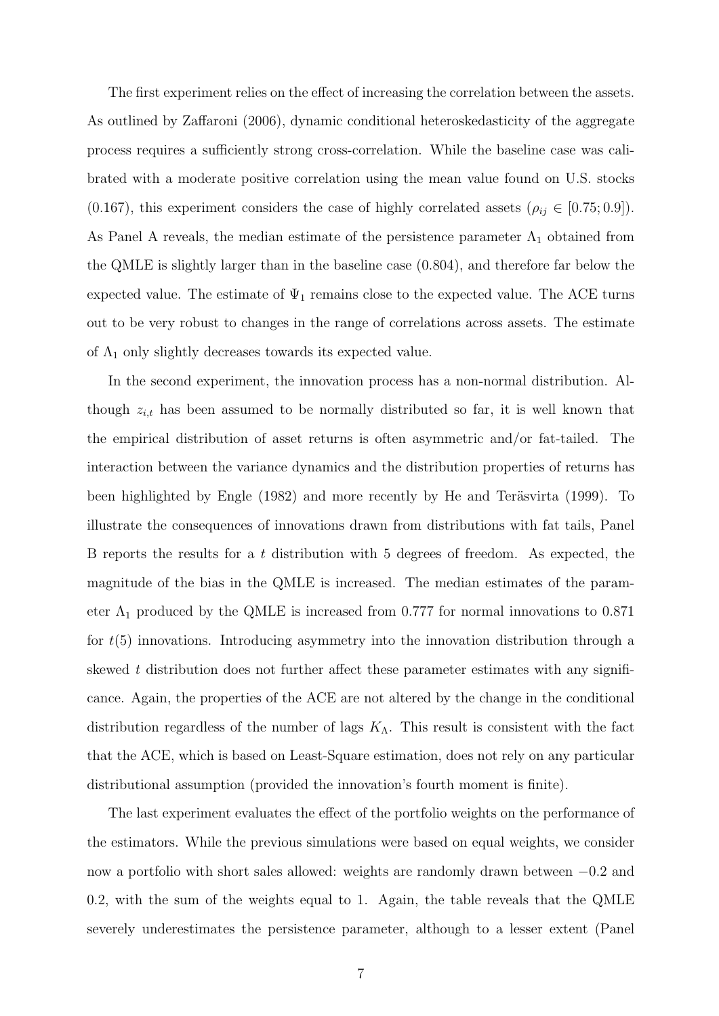The first experiment relies on the effect of increasing the correlation between the assets. As outlined by Zaffaroni (2006), dynamic conditional heteroskedasticity of the aggregate process requires a sufficiently strong cross-correlation. While the baseline case was calibrated with a moderate positive correlation using the mean value found on U.S. stocks (0.167), this experiment considers the case of highly correlated assets ( $\rho_{ij} \in [0.75; 0.9]$ ). As Panel A reveals, the median estimate of the persistence parameter  $\Lambda_1$  obtained from the QMLE is slightly larger than in the baseline case (0.804), and therefore far below the expected value. The estimate of  $\Psi_1$  remains close to the expected value. The ACE turns out to be very robust to changes in the range of correlations across assets. The estimate of  $\Lambda_1$  only slightly decreases towards its expected value.

In the second experiment, the innovation process has a non-normal distribution. Although  $z_{i,t}$  has been assumed to be normally distributed so far, it is well known that the empirical distribution of asset returns is often asymmetric and/or fat-tailed. The interaction between the variance dynamics and the distribution properties of returns has been highlighted by Engle (1982) and more recently by He and Teräsvirta (1999). To illustrate the consequences of innovations drawn from distributions with fat tails, Panel B reports the results for a t distribution with 5 degrees of freedom. As expected, the magnitude of the bias in the QMLE is increased. The median estimates of the parameter  $\Lambda_1$  produced by the QMLE is increased from 0.777 for normal innovations to 0.871 for  $t(5)$  innovations. Introducing asymmetry into the innovation distribution through a skewed t distribution does not further affect these parameter estimates with any significance. Again, the properties of the ACE are not altered by the change in the conditional distribution regardless of the number of lags  $K_{\Lambda}$ . This result is consistent with the fact that the ACE, which is based on Least-Square estimation, does not rely on any particular distributional assumption (provided the innovation's fourth moment is finite).

The last experiment evaluates the effect of the portfolio weights on the performance of the estimators. While the previous simulations were based on equal weights, we consider now a portfolio with short sales allowed: weights are randomly drawn between −0.2 and 0.2, with the sum of the weights equal to 1. Again, the table reveals that the QMLE severely underestimates the persistence parameter, although to a lesser extent (Panel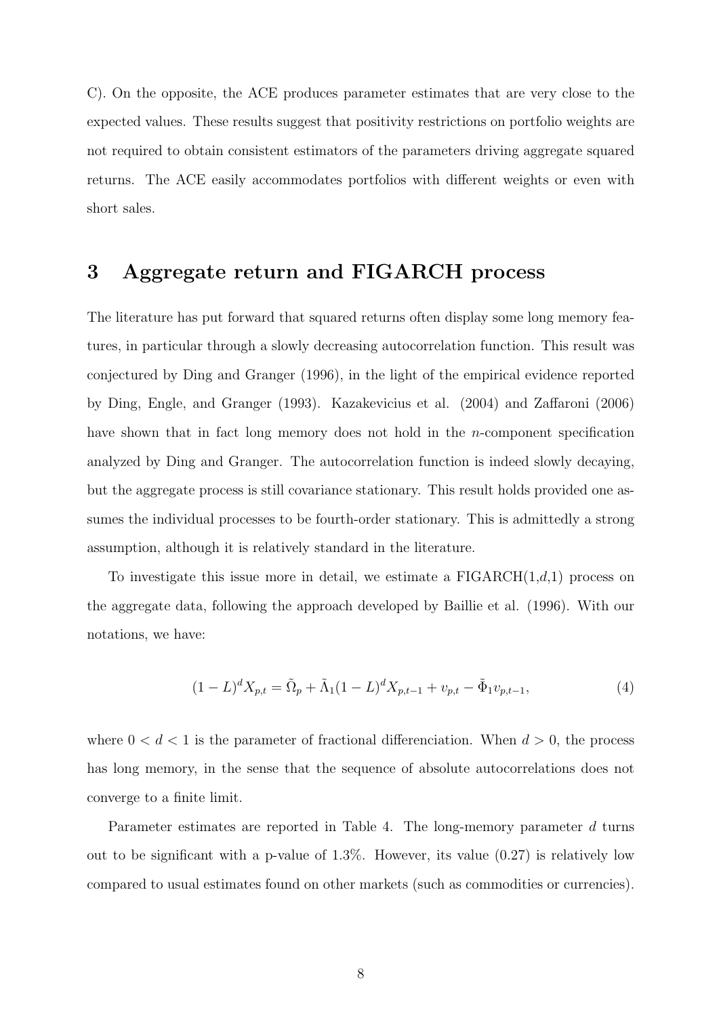C). On the opposite, the ACE produces parameter estimates that are very close to the expected values. These results suggest that positivity restrictions on portfolio weights are not required to obtain consistent estimators of the parameters driving aggregate squared returns. The ACE easily accommodates portfolios with different weights or even with short sales.

# 3 Aggregate return and FIGARCH process

The literature has put forward that squared returns often display some long memory features, in particular through a slowly decreasing autocorrelation function. This result was conjectured by Ding and Granger (1996), in the light of the empirical evidence reported by Ding, Engle, and Granger (1993). Kazakevicius et al. (2004) and Zaffaroni (2006) have shown that in fact long memory does not hold in the *n*-component specification analyzed by Ding and Granger. The autocorrelation function is indeed slowly decaying, but the aggregate process is still covariance stationary. This result holds provided one assumes the individual processes to be fourth-order stationary. This is admittedly a strong assumption, although it is relatively standard in the literature.

To investigate this issue more in detail, we estimate a  $FIGARCH(1,d,1)$  process on the aggregate data, following the approach developed by Baillie et al. (1996). With our notations, we have:

$$
(1 - L)^d X_{p,t} = \tilde{\Omega}_p + \tilde{\Lambda}_1 (1 - L)^d X_{p,t-1} + v_{p,t} - \tilde{\Phi}_1 v_{p,t-1},
$$
\n(4)

where  $0 < d < 1$  is the parameter of fractional differenciation. When  $d > 0$ , the process has long memory, in the sense that the sequence of absolute autocorrelations does not converge to a finite limit.

Parameter estimates are reported in Table 4. The long-memory parameter d turns out to be significant with a p-value of  $1.3\%$ . However, its value  $(0.27)$  is relatively low compared to usual estimates found on other markets (such as commodities or currencies).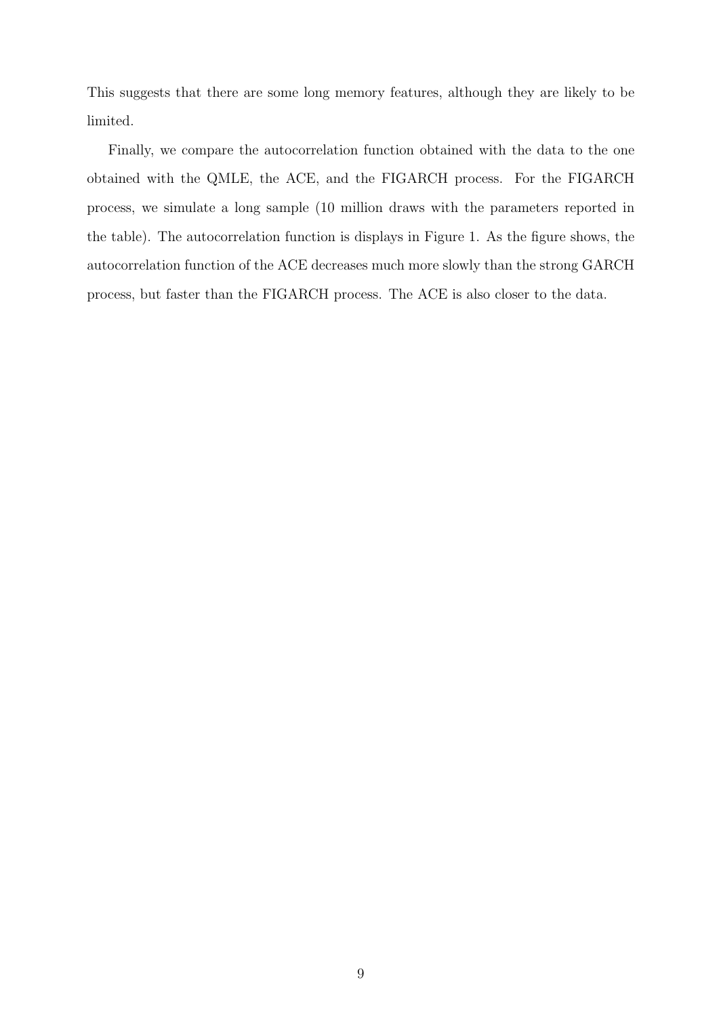This suggests that there are some long memory features, although they are likely to be limited.

Finally, we compare the autocorrelation function obtained with the data to the one obtained with the QMLE, the ACE, and the FIGARCH process. For the FIGARCH process, we simulate a long sample (10 million draws with the parameters reported in the table). The autocorrelation function is displays in Figure 1. As the figure shows, the autocorrelation function of the ACE decreases much more slowly than the strong GARCH process, but faster than the FIGARCH process. The ACE is also closer to the data.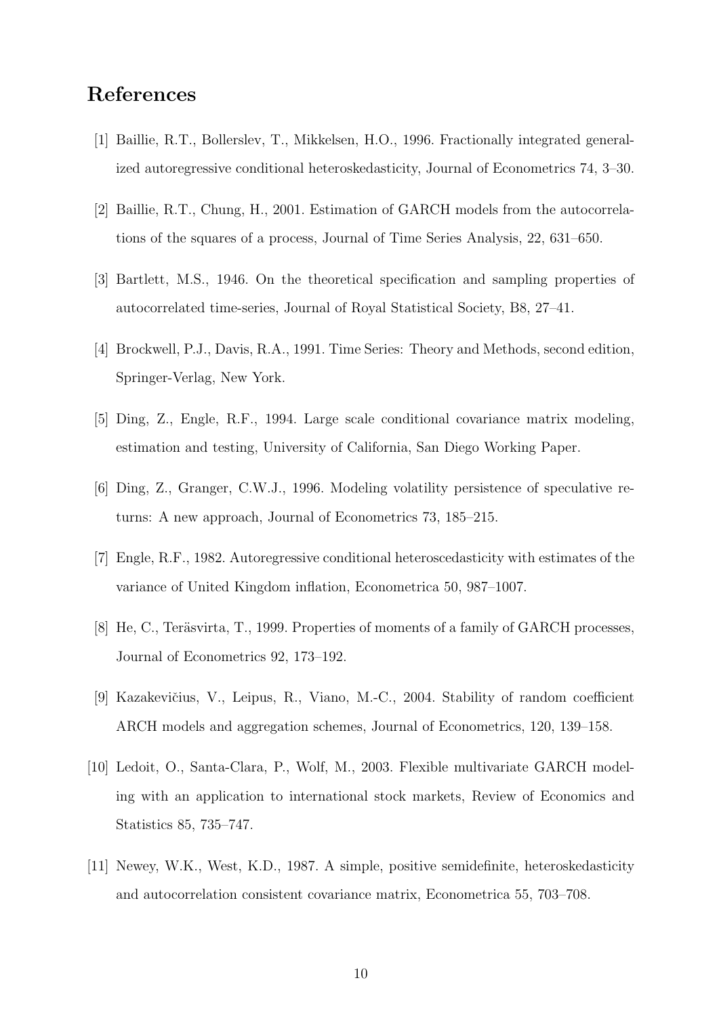# References

- [1] Baillie, R.T., Bollerslev, T., Mikkelsen, H.O., 1996. Fractionally integrated generalized autoregressive conditional heteroskedasticity, Journal of Econometrics 74, 3–30.
- [2] Baillie, R.T., Chung, H., 2001. Estimation of GARCH models from the autocorrelations of the squares of a process, Journal of Time Series Analysis, 22, 631–650.
- [3] Bartlett, M.S., 1946. On the theoretical specification and sampling properties of autocorrelated time-series, Journal of Royal Statistical Society, B8, 27–41.
- [4] Brockwell, P.J., Davis, R.A., 1991. Time Series: Theory and Methods, second edition, Springer-Verlag, New York.
- [5] Ding, Z., Engle, R.F., 1994. Large scale conditional covariance matrix modeling, estimation and testing, University of California, San Diego Working Paper.
- [6] Ding, Z., Granger, C.W.J., 1996. Modeling volatility persistence of speculative returns: A new approach, Journal of Econometrics 73, 185–215.
- [7] Engle, R.F., 1982. Autoregressive conditional heteroscedasticity with estimates of the variance of United Kingdom inflation, Econometrica 50, 987–1007.
- [8] He, C., Teräsvirta, T., 1999. Properties of moments of a family of GARCH processes, Journal of Econometrics 92, 173–192.
- [9] Kazakevičius, V., Leipus, R., Viano, M.-C., 2004. Stability of random coefficient ARCH models and aggregation schemes, Journal of Econometrics, 120, 139–158.
- [10] Ledoit, O., Santa-Clara, P., Wolf, M., 2003. Flexible multivariate GARCH modeling with an application to international stock markets, Review of Economics and Statistics 85, 735–747.
- [11] Newey, W.K., West, K.D., 1987. A simple, positive semidefinite, heteroskedasticity and autocorrelation consistent covariance matrix, Econometrica 55, 703–708.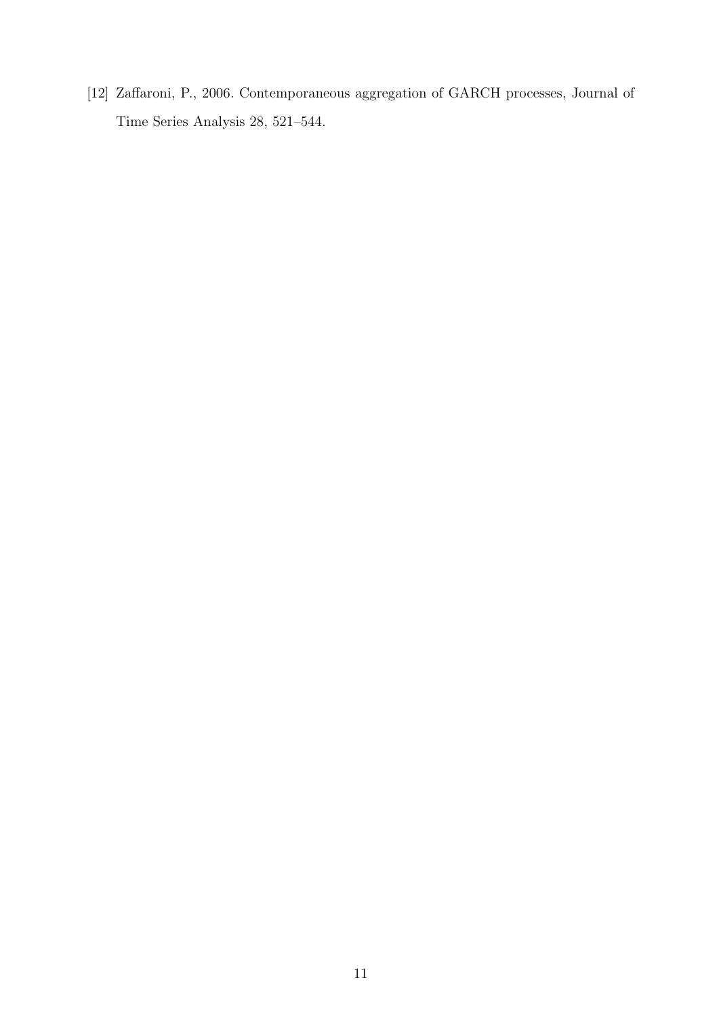[12] Zaffaroni, P., 2006. Contemporaneous aggregation of GARCH processes, Journal of Time Series Analysis 28, 521–544.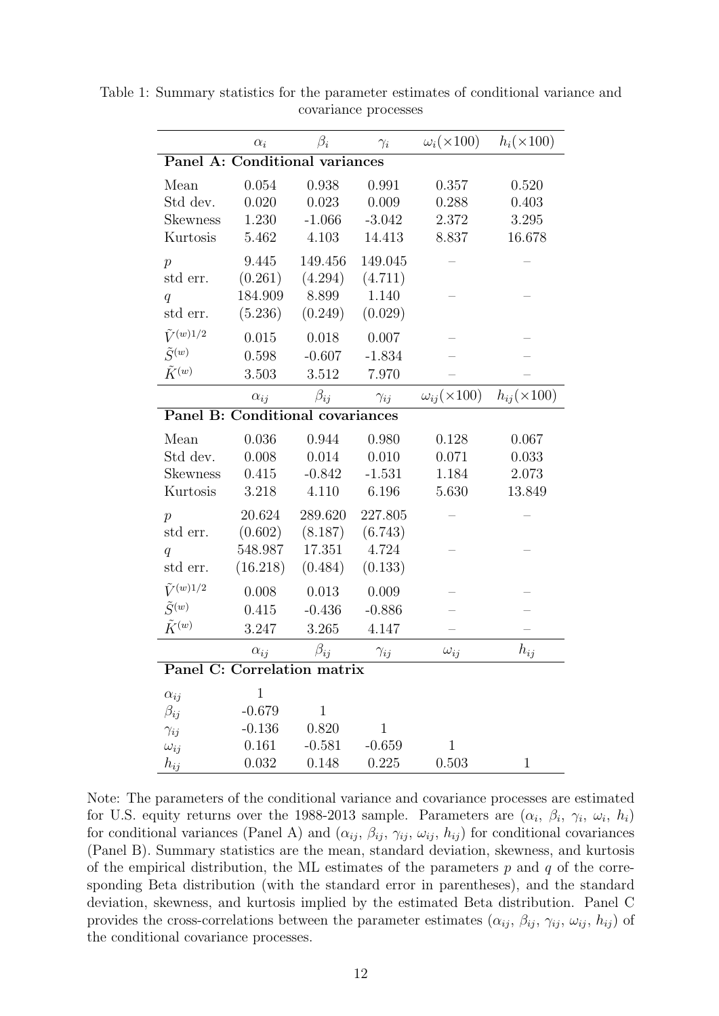|                                  | $\alpha_i$    | $\beta_i$    | $\gamma_i$    | $\omega_i(\times 100)$    | $h_i(\times 100)$    |
|----------------------------------|---------------|--------------|---------------|---------------------------|----------------------|
| Panel A: Conditional variances   |               |              |               |                           |                      |
| Mean                             | 0.054         | 0.938        | 0.991         | 0.357                     | 0.520                |
| Std dev.                         | 0.020         | 0.023        | 0.009         | 0.288                     | 0.403                |
| <b>Skewness</b>                  | 1.230         | $-1.066$     | $-3.042$      | 2.372                     | 3.295                |
| Kurtosis                         | 5.462         | 4.103        | 14.413        | 8.837                     | 16.678               |
| $\overline{p}$                   | 9.445         | 149.456      | 149.045       |                           |                      |
| std err.                         | (0.261)       | (4.294)      | (4.711)       |                           |                      |
| q                                | 184.909       | 8.899        | 1.140         |                           |                      |
| std err.                         | (5.236)       | (0.249)      | (0.029)       |                           |                      |
| $\tilde{V}^{(w)1/2}$             | 0.015         | 0.018        | 0.007         |                           |                      |
| $\tilde{S}^{(w)}$                | 0.598         | $-0.607$     | $-1.834$      |                           |                      |
| $\tilde{K}^{(w)}$                | 3.503         | 3.512        | 7.970         |                           |                      |
|                                  | $\alpha_{ij}$ | $\beta_{ij}$ | $\gamma_{ij}$ | $\omega_{ij}(\times 100)$ | $h_{ij}(\times 100)$ |
| Panel B: Conditional covariances |               |              |               |                           |                      |
| Mean                             | 0.036         | 0.944        | 0.980         | 0.128                     | 0.067                |
| Std dev.                         | 0.008         | 0.014        | 0.010         | 0.071                     | 0.033                |
| <b>Skewness</b>                  | 0.415         | $-0.842$     | $-1.531$      | 1.184                     | 2.073                |
| Kurtosis                         | 3.218         | 4.110        | 6.196         | 5.630                     | 13.849               |
| $\mathcal{p}$                    | 20.624        | 289.620      | 227.805       |                           |                      |
| std err.                         | (0.602)       | (8.187)      | (6.743)       |                           |                      |
| q                                | 548.987       | 17.351       | 4.724         |                           |                      |
| std err.                         | (16.218)      | (0.484)      | (0.133)       |                           |                      |
| $\tilde{V}^{(w)1/2}$             | 0.008         | 0.013        | 0.009         |                           |                      |
| $\tilde{S}^{(w)}$                | 0.415         | $-0.436$     | $-0.886$      |                           |                      |
| $\tilde{K}^{(w)}$                | 3.247         | 3.265        | 4.147         |                           |                      |
|                                  | $\alpha_{ij}$ | $\beta_{ij}$ | $\gamma_{ij}$ | $\omega_{ij}$             | $h_{ij}$             |
| Panel C: Correlation matrix      |               |              |               |                           |                      |
| $\alpha_{ij}$                    | $\mathbf{1}$  |              |               |                           |                      |
| $\beta_{ij}$                     | $-0.679$      | $\mathbf{1}$ |               |                           |                      |
| $\gamma_{ij}$                    | $-0.136$      | 0.820        | $\mathbf{1}$  |                           |                      |
| $\omega_{ij}$                    | 0.161         | $-0.581$     | $-0.659$      | $\mathbf{1}$              |                      |
| $h_{ij}$                         | 0.032         | 0.148        | 0.225         | 0.503                     | $\mathbf 1$          |

Table 1: Summary statistics for the parameter estimates of conditional variance and covariance processes

Note: The parameters of the conditional variance and covariance processes are estimated for U.S. equity returns over the 1988-2013 sample. Parameters are  $(\alpha_i, \beta_i, \gamma_i, \omega_i, h_i)$ for conditional variances (Panel A) and  $(\alpha_{ij}, \beta_{ij}, \gamma_{ij}, \omega_{ij}, h_{ij})$  for conditional covariances (Panel B). Summary statistics are the mean, standard deviation, skewness, and kurtosis of the empirical distribution, the ML estimates of the parameters  $p$  and  $q$  of the corresponding Beta distribution (with the standard error in parentheses), and the standard deviation, skewness, and kurtosis implied by the estimated Beta distribution. Panel C provides the cross-correlations between the parameter estimates  $(\alpha_{ij}, \beta_{ij}, \gamma_{ij}, \omega_{ij}, h_{ij})$  of the conditional covariance processes.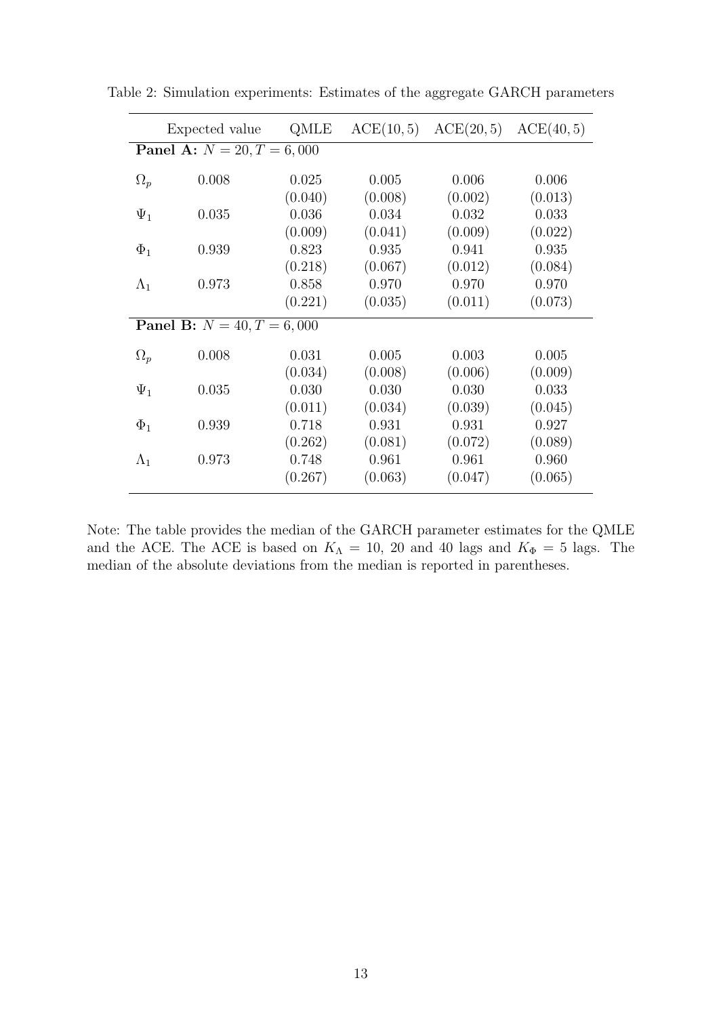|                                     | Expected value                      | QMLE                        | ACE(10,5)                   | ACE(20,5)                   | ACE(40,5)                   |  |
|-------------------------------------|-------------------------------------|-----------------------------|-----------------------------|-----------------------------|-----------------------------|--|
| <b>Panel A:</b> $N = 20, T = 6,000$ |                                     |                             |                             |                             |                             |  |
| $\Omega_p$                          | 0.008                               | 0.025                       | 0.005                       | 0.006                       | 0.006                       |  |
| $\Psi_1$                            | 0.035                               | (0.040)<br>0.036            | (0.008)<br>0.034            | (0.002)<br>0.032            | (0.013)<br>0.033            |  |
| $\Phi_1$                            | 0.939                               | (0.009)<br>0.823            | (0.041)<br>0.935            | (0.009)<br>0.941            | (0.022)<br>0.935            |  |
|                                     |                                     | (0.218)                     | (0.067)                     | (0.012)                     | (0.084)                     |  |
| $\Lambda_1$                         | 0.973                               | 0.858<br>(0.221)            | 0.970<br>(0.035)            | 0.970<br>(0.011)            | 0.970<br>(0.073)            |  |
|                                     | <b>Panel B:</b> $N = 40, T = 6,000$ |                             |                             |                             |                             |  |
| $\Omega_p$                          | 0.008                               | 0.031<br>(0.034)            | 0.005<br>(0.008)            | 0.003<br>(0.006)            | 0.005<br>(0.009)            |  |
| $\Psi_1$                            | 0.035                               | 0.030                       | 0.030                       | 0.030                       | 0.033                       |  |
| $\Phi_1$                            | 0.939                               | (0.011)<br>0.718            | (0.034)<br>0.931            | (0.039)<br>0.931            | (0.045)<br>0.927            |  |
| $\Lambda_1$                         | 0.973                               | (0.262)<br>0.748<br>(0.267) | (0.081)<br>0.961<br>(0.063) | (0.072)<br>0.961<br>(0.047) | (0.089)<br>0.960<br>(0.065) |  |

Table 2: Simulation experiments: Estimates of the aggregate GARCH parameters

Note: The table provides the median of the GARCH parameter estimates for the QMLE and the ACE. The ACE is based on  $K_{\Lambda} = 10$ , 20 and 40 lags and  $K_{\Phi} = 5$  lags. The median of the absolute deviations from the median is reported in parentheses.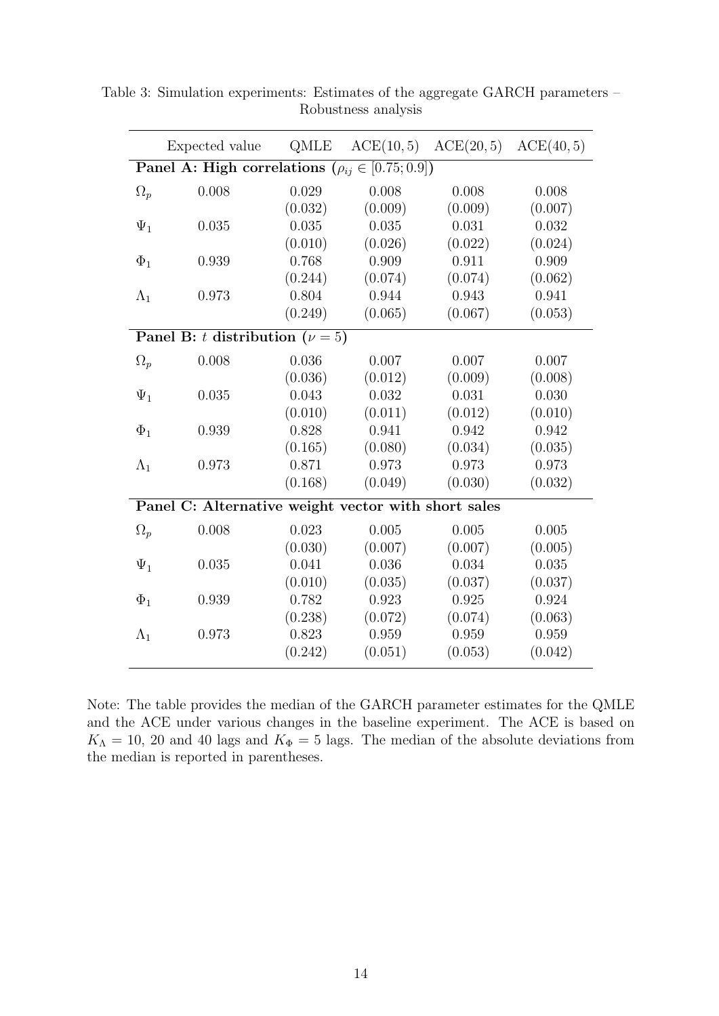|             | Expected value                                                  | QMLE    | ACE(10,5) | ACE(20, 5) | ACE(40,5) |  |
|-------------|-----------------------------------------------------------------|---------|-----------|------------|-----------|--|
|             | <b>Panel A: High correlations</b> $(\rho_{ij} \in [0.75; 0.9])$ |         |           |            |           |  |
| $\Omega_p$  | 0.008                                                           | 0.029   | 0.008     | 0.008      | 0.008     |  |
|             |                                                                 | (0.032) | (0.009)   | (0.009)    | (0.007)   |  |
| $\Psi_1$    | 0.035                                                           | 0.035   | 0.035     | 0.031      | 0.032     |  |
|             |                                                                 | (0.010) | (0.026)   | (0.022)    | (0.024)   |  |
| $\Phi_1$    | 0.939                                                           | 0.768   | 0.909     | 0.911      | 0.909     |  |
|             |                                                                 | (0.244) | (0.074)   | (0.074)    | (0.062)   |  |
| $\Lambda_1$ | 0.973                                                           | 0.804   | 0.944     | 0.943      | 0.941     |  |
|             |                                                                 | (0.249) | (0.065)   | (0.067)    | (0.053)   |  |
|             | Panel B: t distribution ( $\nu = 5$ )                           |         |           |            |           |  |
| $\Omega_p$  | 0.008                                                           | 0.036   | 0.007     | 0.007      | 0.007     |  |
|             |                                                                 | (0.036) | (0.012)   | (0.009)    | (0.008)   |  |
| $\Psi_1$    | 0.035                                                           | 0.043   | 0.032     | 0.031      | 0.030     |  |
|             |                                                                 | (0.010) | (0.011)   | (0.012)    | (0.010)   |  |
| $\Phi_1$    | 0.939                                                           | 0.828   | 0.941     | 0.942      | 0.942     |  |
|             |                                                                 | (0.165) | (0.080)   | (0.034)    | (0.035)   |  |
| $\Lambda_1$ | 0.973                                                           | 0.871   | 0.973     | 0.973      | 0.973     |  |
|             |                                                                 | (0.168) | (0.049)   | (0.030)    | (0.032)   |  |
|             | Panel C: Alternative weight vector with short sales             |         |           |            |           |  |
| $\Omega_p$  | 0.008                                                           | 0.023   | 0.005     | 0.005      | 0.005     |  |
|             |                                                                 | (0.030) | (0.007)   | (0.007)    | (0.005)   |  |
| $\Psi_1$    | 0.035                                                           | 0.041   | 0.036     | 0.034      | 0.035     |  |
|             |                                                                 | (0.010) | (0.035)   | (0.037)    | (0.037)   |  |
| $\Phi_1$    | 0.939                                                           | 0.782   | 0.923     | 0.925      | 0.924     |  |
|             |                                                                 | (0.238) | (0.072)   | (0.074)    | (0.063)   |  |
| $\Lambda_1$ | 0.973                                                           | 0.823   | 0.959     | 0.959      | 0.959     |  |
|             |                                                                 | (0.242) | (0.051)   | (0.053)    | (0.042)   |  |

Table 3: Simulation experiments: Estimates of the aggregate GARCH parameters – Robustness analysis

Note: The table provides the median of the GARCH parameter estimates for the QMLE and the ACE under various changes in the baseline experiment. The ACE is based on  $K_{\Lambda} = 10, 20$  and 40 lags and  $K_{\Phi} = 5$  lags. The median of the absolute deviations from the median is reported in parentheses.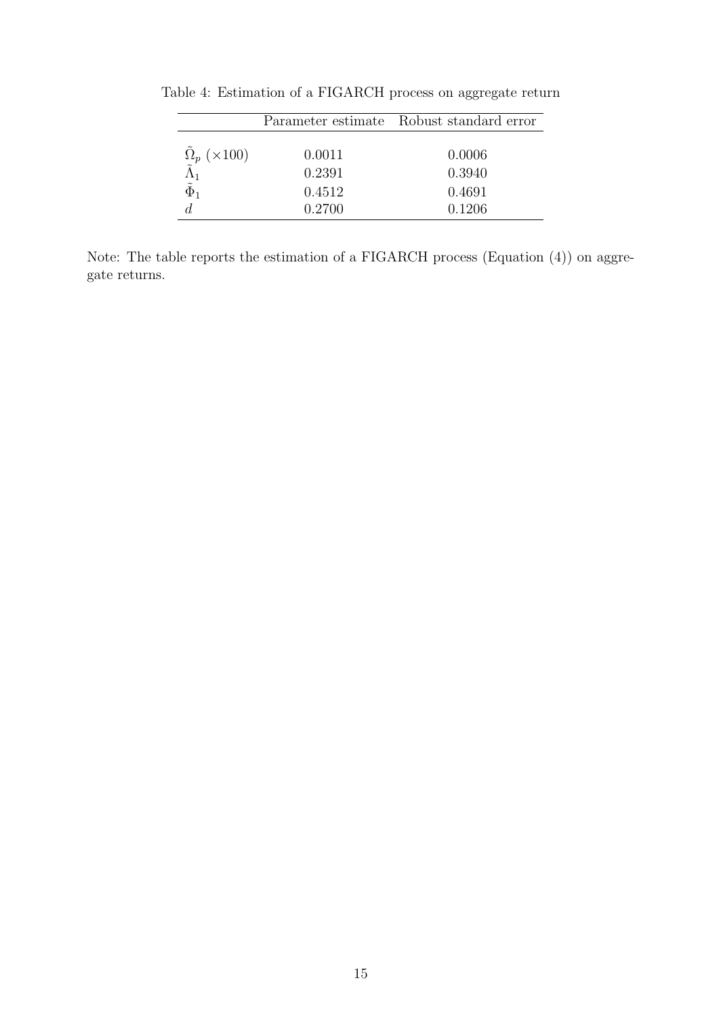|                           |        | Parameter estimate Robust standard error |  |
|---------------------------|--------|------------------------------------------|--|
|                           |        |                                          |  |
| $\tilde{\Omega}_p$ (×100) | 0.0011 | 0.0006                                   |  |
| $\Lambda$ 1               | 0.2391 | 0.3940                                   |  |
| $\tilde{\Phi}_1$          | 0.4512 | 0.4691                                   |  |
|                           | 0.2700 | 0.1206                                   |  |

Table 4: Estimation of a FIGARCH process on aggregate return

Note: The table reports the estimation of a FIGARCH process (Equation (4)) on aggregate returns.